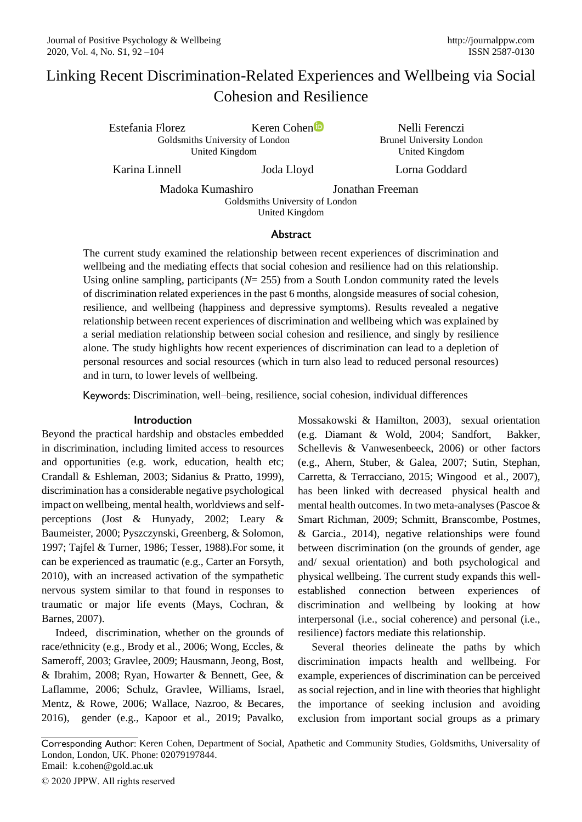# Linking Recent Discrimination-Related Experiences and Wellbeing via Social Cohesion and Resilience

Estefania Florez Keren Cohen D Goldsmiths University of London United Kingdom

United Kingdom Karina Linnell Joda Lloyd Lorna Goddard

Brunel University London

Madoka Kumashiro Jonathan Freeman Goldsmiths University of London United Kingdom

## Abstract

The current study examined the relationship between recent experiences of discrimination and wellbeing and the mediating effects that social cohesion and resilience had on this relationship. Using online sampling, participants (*N*= 255) from a South London community rated the levels of discrimination related experiences in the past 6 months, alongside measures of social cohesion, resilience, and wellbeing (happiness and depressive symptoms). Results revealed a negative relationship between recent experiences of discrimination and wellbeing which was explained by a serial mediation relationship between social cohesion and resilience, and singly by resilience alone. The study highlights how recent experiences of discrimination can lead to a depletion of personal resources and social resources (which in turn also lead to reduced personal resources) and in turn, to lower levels of wellbeing.

Keywords: Discrimination, well–being, resilience, social cohesion, individual differences

### Introduction

Beyond the practical hardship and obstacles embedded in discrimination, including limited access to resources and opportunities (e.g. work, education, health etc; Crandall & Eshleman, 2003; Sidanius & Pratto, 1999), discrimination has a considerable negative psychological impact on wellbeing, mental health, worldviews and selfperceptions (Jost & Hunyady, 2002; Leary & Baumeister, 2000; Pyszczynski, Greenberg, & Solomon, 1997; Tajfel & Turner, 1986; Tesser, 1988).For some, it can be experienced as traumatic (e.g., Carter an Forsyth, 2010), with an increased activation of the sympathetic nervous system similar to that found in responses to traumatic or major life events (Mays, Cochran, & Barnes, 2007).

Indeed, discrimination, whether on the grounds of race/ethnicity (e.g., Brody et al., 2006; Wong, Eccles, & Sameroff, 2003; Gravlee, 2009; Hausmann, Jeong, Bost, & Ibrahim, 2008; Ryan, Howarter & Bennett, Gee, & Laflamme, 2006; Schulz, Gravlee, Williams, Israel, Mentz, & Rowe, 2006; Wallace, Nazroo, & Becares, 2016), gender (e.g., Kapoor et al., 2019; Pavalko,

Mossakowski & Hamilton, 2003), sexual orientation (e.g. Diamant & Wold, 2004; Sandfort, Bakker, Schellevis & Vanwesenbeeck, 2006) or other factors (e.g., Ahern, Stuber, & Galea, 2007; Sutin, Stephan, Carretta, & Terracciano, 2015; Wingood et al., 2007), has been linked with decreased physical health and mental health outcomes. In two meta-analyses (Pascoe & Smart Richman, 2009; Schmitt, Branscombe, Postmes, & Garcia., 2014), negative relationships were found between discrimination (on the grounds of gender, age and/ sexual orientation) and both psychological and physical wellbeing. The current study expands this wellestablished connection between experiences of discrimination and wellbeing by looking at how interpersonal (i.e., social coherence) and personal (i.e., resilience) factors mediate this relationship.

Several theories delineate the paths by which discrimination impacts health and wellbeing. For example, experiences of discrimination can be perceived as social rejection, and in line with theories that highlight the importance of seeking inclusion and avoiding exclusion from important social groups as a primary

Corresponding Author: Keren Cohen, Department of Social, Apathetic and Community Studies, Goldsmiths, Universality of London, London, UK. Phone: 02079197844.

[Email:](mailto:trenshaw@lsu.edu) k.cohen@gold.ac.uk

© 2020 JPPW. All rights reserved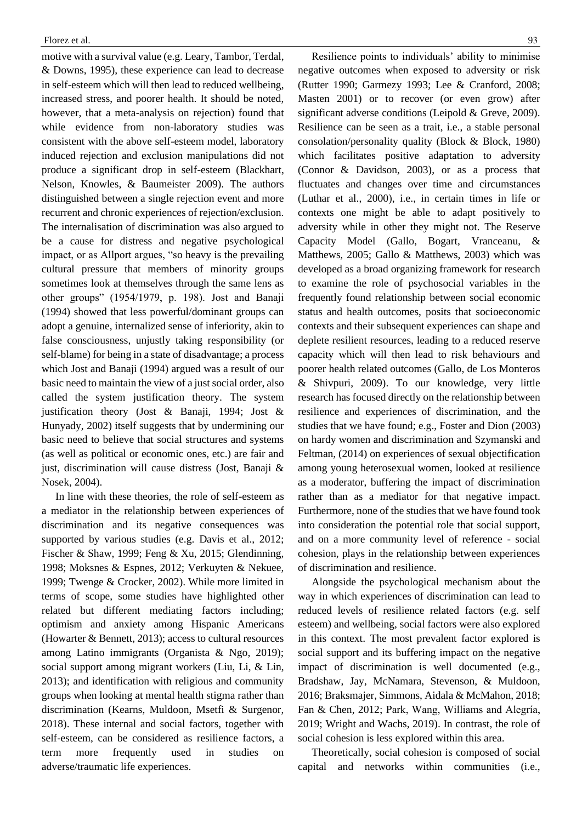motive with a survival value (e.g. Leary, Tambor, Terdal, & Downs, 1995), these experience can lead to decrease in self-esteem which will then lead to reduced wellbeing, increased stress, and poorer health. It should be noted, however, that a meta-analysis on rejection) found that while evidence from non-laboratory studies was consistent with the above self-esteem model, laboratory induced rejection and exclusion manipulations did not produce a significant drop in self-esteem (Blackhart, Nelson, Knowles, & Baumeister 2009). The authors distinguished between a single rejection event and more recurrent and chronic experiences of rejection/exclusion. The internalisation of discrimination was also argued to be a cause for distress and negative psychological impact, or as Allport argues, "so heavy is the prevailing cultural pressure that members of minority groups sometimes look at themselves through the same lens as other groups" (1954/1979, p. 198). Jost and Banaji (1994) showed that less powerful/dominant groups can adopt a genuine, internalized sense of inferiority, akin to false consciousness, unjustly taking responsibility (or self-blame) for being in a state of disadvantage; a process which Jost and Banaji (1994) argued was a result of our basic need to maintain the view of a just social order, also called the system justification theory. The system justification theory (Jost & Banaji, 1994; Jost & Hunyady, 2002) itself suggests that by undermining our basic need to believe that social structures and systems (as well as political or economic ones, etc.) are fair and just, discrimination will cause distress (Jost, Banaji & Nosek, 2004).

In line with these theories, the role of self-esteem as a mediator in the relationship between experiences of discrimination and its negative consequences was supported by various studies (e.g. Davis et al., 2012; Fischer & Shaw, 1999; Feng & Xu, 2015; Glendinning, 1998; Moksnes & Espnes, 2012; Verkuyten & Nekuee, 1999; Twenge & Crocker, 2002). While more limited in terms of scope, some studies have highlighted other related but different mediating factors including; optimism and anxiety among Hispanic Americans (Howarter & Bennett, 2013); access to cultural resources among Latino immigrants (Organista & Ngo, 2019); social support among migrant workers (Liu, Li, & Lin, 2013); and identification with religious and community groups when looking at mental health stigma rather than discrimination (Kearns, Muldoon, Msetfi & Surgenor, 2018). These internal and social factors, together with self-esteem, can be considered as resilience factors, a term more frequently used in studies on adverse/traumatic life experiences.

Resilience points to individuals' ability to minimise negative outcomes when exposed to adversity or risk (Rutter 1990; Garmezy 1993; Lee & Cranford, 2008; Masten 2001) or to recover (or even grow) after significant adverse conditions (Leipold & Greve, 2009). Resilience can be seen as a trait, i.e., a stable personal consolation/personality quality (Block & Block, 1980) which facilitates positive adaptation to adversity (Connor & Davidson, 2003), or as a process that fluctuates and changes over time and circumstances (Luthar et al., 2000), i.e., in certain times in life or contexts one might be able to adapt positively to adversity while in other they might not. The Reserve Capacity Model (Gallo, Bogart, Vranceanu, & Matthews, 2005; Gallo & Matthews, 2003) which was developed as a broad organizing framework for research to examine the role of psychosocial variables in the frequently found relationship between social economic status and health outcomes, posits that socioeconomic contexts and their subsequent experiences can shape and deplete resilient resources, leading to a reduced reserve capacity which will then lead to risk behaviours and poorer health related outcomes (Gallo, de Los Monteros & Shivpuri, 2009). To our knowledge, very little research has focused directly on the relationship between resilience and experiences of discrimination, and the studies that we have found; e.g., Foster and Dion (2003) on hardy women and discrimination and Szymanski and Feltman, (2014) on experiences of sexual objectification among young heterosexual women, looked at resilience as a moderator, buffering the impact of discrimination rather than as a mediator for that negative impact. Furthermore, none of the studies that we have found took into consideration the potential role that social support, and on a more community level of reference - social cohesion, plays in the relationship between experiences of discrimination and resilience.

Alongside the psychological mechanism about the way in which experiences of discrimination can lead to reduced levels of resilience related factors (e.g. self esteem) and wellbeing, social factors were also explored in this context. The most prevalent factor explored is social support and its buffering impact on the negative impact of discrimination is well documented (e.g., Bradshaw, Jay, McNamara, Stevenson, & Muldoon, 2016; Braksmajer, Simmons, Aidala & McMahon, 2018; Fan & Chen, 2012; Park, Wang, Williams and Alegría, 2019; Wright and Wachs, 2019). In contrast, the role of social cohesion is less explored within this area.

Theoretically, social cohesion is composed of social capital and networks within communities (i.e.,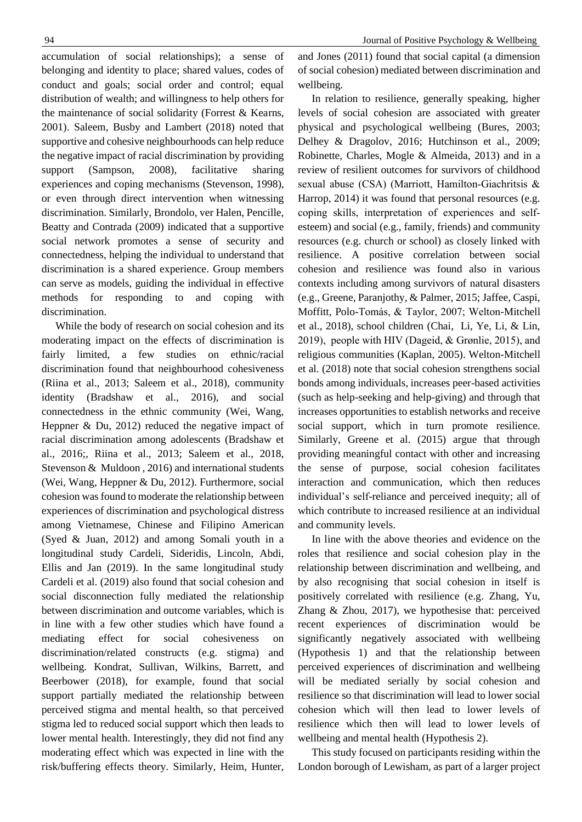wellbeing.

belonging and identity to place; shared values, codes of conduct and goals; social order and control; equal distribution of wealth; and willingness to help others for the maintenance of social solidarity (Forrest & Kearns, 2001). Saleem, Busby and Lambert (2018) noted that supportive and cohesive neighbourhoods can help reduce the negative impact of racial discrimination by providing support (Sampson, 2008), facilitative sharing experiences and coping mechanisms (Stevenson, 1998), or even through direct intervention when witnessing discrimination. Similarly, Brondolo, ver Halen, Pencille, Beatty and Contrada (2009) indicated that a supportive social network promotes a sense of security and connectedness, helping the individual to understand that discrimination is a shared experience. Group members can serve as models, guiding the individual in effective methods for responding to and coping with discrimination.

While the body of research on social cohesion and its moderating impact on the effects of discrimination is fairly limited, a few studies on ethnic/racial discrimination found that neighbourhood cohesiveness (Riina et al., 2013; Saleem et al., 2018), community identity (Bradshaw et al., 2016), and social connectedness in the ethnic community (Wei, Wang, Heppner & Du, 2012) reduced the negative impact of racial discrimination among adolescents (Bradshaw et al., 2016;, Riina et al., 2013; Saleem et al., 2018, Stevenson & Muldoon , 2016) and international students (Wei, Wang, Heppner & Du, 2012). Furthermore, social cohesion was found to moderate the relationship between experiences of discrimination and psychological distress among Vietnamese, Chinese and Filipino American (Syed & Juan, 2012) and among Somali youth in a longitudinal study Cardeli, Sideridis, Lincoln, Abdi, Ellis and Jan (2019). In the same longitudinal study Cardeli et al. (2019) also found that social cohesion and social disconnection fully mediated the relationship between discrimination and outcome variables, which is in line with a few other studies which have found a mediating effect for social cohesiveness on discrimination/related constructs (e.g. stigma) and wellbeing. Kondrat, Sullivan, Wilkins, Barrett, and Beerbower (2018), for example, found that social support partially mediated the relationship between perceived stigma and mental health, so that perceived stigma led to reduced social support which then leads to lower mental health. Interestingly, they did not find any moderating effect which was expected in line with the risk/buffering effects theory. Similarly, Heim, Hunter,

In relation to resilience, generally speaking, higher levels of social cohesion are associated with greater physical and psychological wellbeing (Bures, 2003; Delhey & Dragolov, 2016; Hutchinson et al., 2009; Robinette, Charles, Mogle & Almeida, 2013) and in a review of resilient outcomes for survivors of childhood sexual abuse (CSA) (Marriott, Hamilton‐Giachritsis & Harrop, 2014) it was found that personal resources (e.g. coping skills, interpretation of experiences and self‐ esteem) and social (e.g., family, friends) and community resources (e.g. church or school) as closely linked with resilience. A positive correlation between social cohesion and resilience was found also in various contexts including among survivors of natural disasters (e.g., Greene, Paranjothy, & Palmer, 2015; Jaffee, Caspi, Moffitt, Polo-Tomás, & Taylor, 2007; Welton-Mitchell et al., 2018), school children (Chai, Li, Ye, Li, & Lin, 2019), people with HIV (Dageid, & Grønlie, 2015), and religious communities (Kaplan, 2005). Welton-Mitchell et al. (2018) note that social cohesion strengthens social bonds among individuals, increases peer-based activities (such as help-seeking and help-giving) and through that increases opportunities to establish networks and receive social support, which in turn promote resilience. Similarly, Greene et al. (2015) argue that through providing meaningful contact with other and increasing the sense of purpose, social cohesion facilitates interaction and communication, which then reduces individual's self-reliance and perceived inequity; all of which contribute to increased resilience at an individual and community levels.

In line with the above theories and evidence on the roles that resilience and social cohesion play in the relationship between discrimination and wellbeing, and by also recognising that social cohesion in itself is positively correlated with resilience (e.g. Zhang, Yu, Zhang & Zhou, 2017), we hypothesise that: perceived recent experiences of discrimination would be significantly negatively associated with wellbeing (Hypothesis 1) and that the relationship between perceived experiences of discrimination and wellbeing will be mediated serially by social cohesion and resilience so that discrimination will lead to lower social cohesion which will then lead to lower levels of resilience which then will lead to lower levels of wellbeing and mental health (Hypothesis 2).

This study focused on participants residing within the London borough of Lewisham, as part of a larger project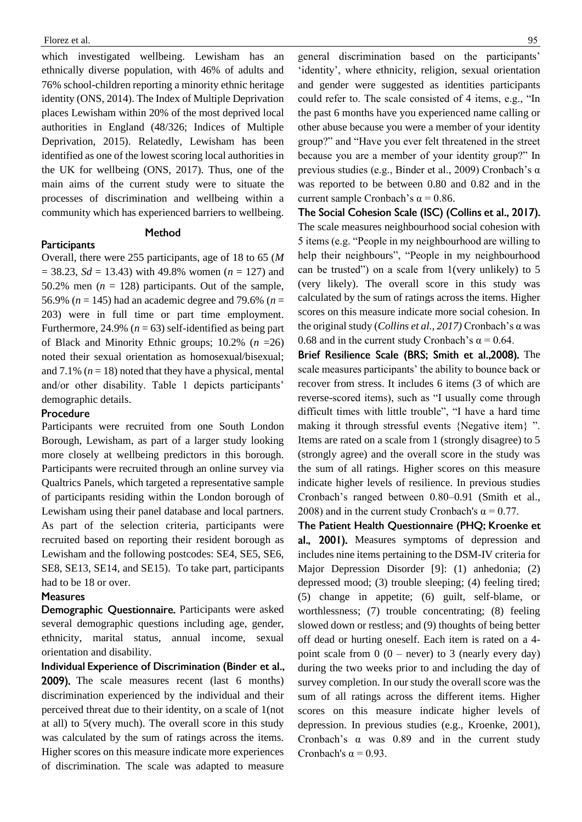which investigated wellbeing. Lewisham has an ethnically diverse population, with 46% of adults and 76% school-children reporting a minority ethnic heritage identity (ONS, 2014). The Index of Multiple Deprivation places Lewisham within 20% of the most deprived local authorities in England (48/326; Indices of Multiple Deprivation, 2015). Relatedly, Lewisham has been identified as one of the lowest scoring local authorities in the UK for wellbeing (ONS, 2017). Thus, one of the main aims of the current study were to situate the processes of discrimination and wellbeing within a community which has experienced barriers to wellbeing.

## Method

## Participants

Overall, there were 255 participants, age of 18 to 65 (*M*  $= 38.23$ , *Sd* = 13.43) with 49.8% women (*n* = 127) and 50.2% men  $(n = 128)$  participants. Out of the sample, 56.9% (*n* = 145) had an academic degree and 79.6% (*n* = 203) were in full time or part time employment. Furthermore, 24.9% ( $n = 63$ ) self-identified as being part of Black and Minority Ethnic groups; 10.2% (*n* =26) noted their sexual orientation as homosexual/bisexual; and  $7.1\%$  ( $n = 18$ ) noted that they have a physical, mental and/or other disability. Table 1 depicts participants' demographic details.

#### Procedure

Participants were recruited from one South London Borough, Lewisham, as part of a larger study looking more closely at wellbeing predictors in this borough. Participants were recruited through an online survey via Qualtrics Panels, which targeted a representative sample of participants residing within the London borough of Lewisham using their panel database and local partners. As part of the selection criteria, participants were recruited based on reporting their resident borough as Lewisham and the following postcodes: SE4, SE5, SE6, SE8, SE13, SE14, and SE15). To take part, participants had to be 18 or over.

## **Measures**

Demographic Questionnaire. Participants were asked several demographic questions including age, gender, ethnicity, marital status, annual income, sexual orientation and disability.

Individual Experience of Discrimination (Binder et al., 2009). The scale measures recent (last 6 months) discrimination experienced by the individual and their perceived threat due to their identity, on a scale of 1(not at all) to 5(very much). The overall score in this study was calculated by the sum of ratings across the items. Higher scores on this measure indicate more experiences of discrimination. The scale was adapted to measure

general discrimination based on the participants' 'identity', where ethnicity, religion, sexual orientation and gender were suggested as identities participants could refer to. The scale consisted of 4 items, e.g., "In the past 6 months have you experienced name calling or other abuse because you were a member of your identity group?" and "Have you ever felt threatened in the street because you are a member of your identity group?" In previous studies (e.g., Binder et al., 2009) Cronbach's α was reported to be between 0.80 and 0.82 and in the current sample Cronbach's  $\alpha$  = 0.86.

The Social Cohesion Scale (ISC) (Collins et al., 2017). The scale measures neighbourhood social cohesion with 5 items (e.g. "People in my neighbourhood are willing to help their neighbours", "People in my neighbourhood can be trusted") on a scale from 1(very unlikely) to 5 (very likely). The overall score in this study was calculated by the sum of ratings across the items. Higher scores on this measure indicate more social cohesion. In the original study (*Collins et al., 2017)* Cronbach's α was 0.68 and in the current study Cronbach's  $\alpha$  = 0.64.

Brief Resilience Scale (BRS; Smith et al., 2008). The scale measures participants' the ability to bounce back or recover from stress. It includes 6 items (3 of which are reverse-scored items), such as "I usually come through difficult times with little trouble", "I have a hard time making it through stressful events {Negative item} ". Items are rated on a scale from 1 (strongly disagree) to 5 (strongly agree) and the overall score in the study was the sum of all ratings. Higher scores on this measure indicate higher levels of resilience. In previous studies Cronbach's ranged between 0.80–0.91 (Smith et al., 2008) and in the current study Cronbach's  $\alpha = 0.77$ .

The Patient Health Questionnaire (PHQ; Kroenke et al., 2001). Measures symptoms of depression and includes nine items pertaining to the DSM-IV criteria for Major Depression Disorder [\[9\]](https://thejournalofheadacheandpain.biomedcentral.com/articles/10.1186/s10194-015-0552-2#ref-CR9): (1) anhedonia; (2) depressed mood; (3) trouble sleeping; (4) feeling tired; (5) change in appetite; (6) guilt, self-blame, or worthlessness; (7) trouble concentrating; (8) feeling slowed down or restless; and (9) thoughts of being better off dead or hurting oneself. Each item is rated on a 4 point scale from  $0$  ( $0$  – never) to 3 (nearly every day) during the two weeks prior to and including the day of survey completion. In our study the overall score was the sum of all ratings across the different items. Higher scores on this measure indicate higher levels of depression. In previous studies (e.g., Kroenke, 2001), Cronbach's α was 0.89 and in the current study Cronbach's  $\alpha$  = 0.93.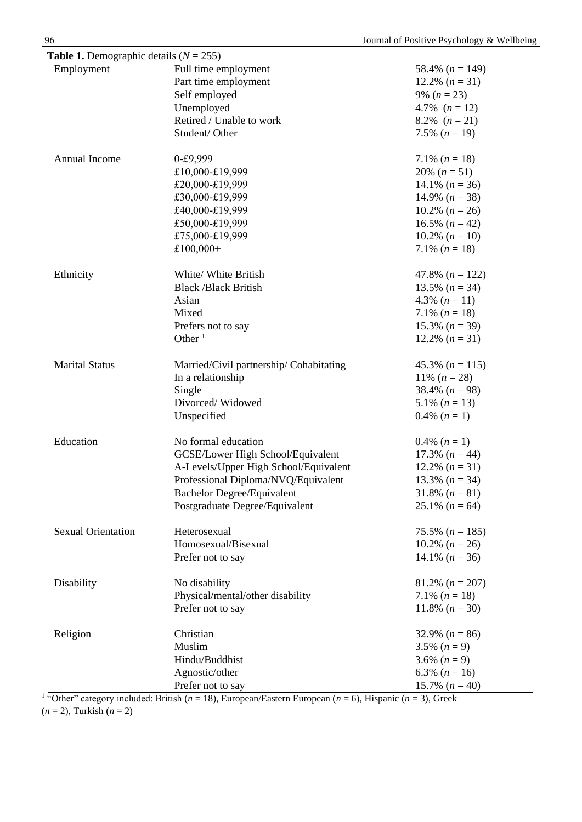| Table 1. Demographic details $(N = 255)$ |                                         |                   |  |  |  |  |
|------------------------------------------|-----------------------------------------|-------------------|--|--|--|--|
| Employment                               | Full time employment                    | 58.4% $(n = 149)$ |  |  |  |  |
|                                          | Part time employment                    | 12.2% $(n = 31)$  |  |  |  |  |
|                                          | Self employed                           | 9% $(n = 23)$     |  |  |  |  |
|                                          | Unemployed                              | 4.7% $(n = 12)$   |  |  |  |  |
|                                          | Retired / Unable to work                | 8.2% $(n=21)$     |  |  |  |  |
|                                          | Student/Other                           | 7.5% $(n = 19)$   |  |  |  |  |
| Annual Income<br>0-£9,999                |                                         | 7.1% $(n = 18)$   |  |  |  |  |
|                                          | £10,000-£19,999                         | 20% $(n = 51)$    |  |  |  |  |
|                                          | £20,000-£19,999                         | 14.1% $(n = 36)$  |  |  |  |  |
|                                          | £30,000-£19,999                         | 14.9% $(n = 38)$  |  |  |  |  |
|                                          | £40,000-£19,999                         | 10.2% $(n = 26)$  |  |  |  |  |
|                                          | £50,000-£19,999                         | 16.5% $(n = 42)$  |  |  |  |  |
|                                          | £75,000-£19,999                         | 10.2% $(n = 10)$  |  |  |  |  |
|                                          | £100,000+                               | 7.1% $(n = 18)$   |  |  |  |  |
| Ethnicity                                | White/ White British                    | 47.8% $(n = 122)$ |  |  |  |  |
|                                          | <b>Black /Black British</b>             | 13.5% $(n = 34)$  |  |  |  |  |
| Asian                                    |                                         | 4.3% $(n = 11)$   |  |  |  |  |
| Mixed                                    |                                         | 7.1% $(n = 18)$   |  |  |  |  |
|                                          | Prefers not to say                      | 15.3% $(n = 39)$  |  |  |  |  |
| Other $1$                                |                                         | 12.2% $(n = 31)$  |  |  |  |  |
| <b>Marital Status</b>                    | Married/Civil partnership/ Cohabitating | 45.3% $(n = 115)$ |  |  |  |  |
|                                          | In a relationship                       | 11% $(n = 28)$    |  |  |  |  |
| Single                                   |                                         | 38.4% $(n = 98)$  |  |  |  |  |
|                                          | Divorced/Widowed                        | 5.1% $(n = 13)$   |  |  |  |  |
|                                          | Unspecified                             | 0.4% $(n=1)$      |  |  |  |  |
| Education                                | No formal education                     | 0.4% $(n = 1)$    |  |  |  |  |
|                                          | GCSE/Lower High School/Equivalent       | 17.3% $(n = 44)$  |  |  |  |  |
|                                          | A-Levels/Upper High School/Equivalent   | 12.2% $(n = 31)$  |  |  |  |  |
|                                          | Professional Diploma/NVQ/Equivalent     | 13.3% $(n = 34)$  |  |  |  |  |
|                                          | <b>Bachelor Degree/Equivalent</b>       | 31.8% $(n = 81)$  |  |  |  |  |
|                                          | Postgraduate Degree/Equivalent          | 25.1% $(n = 64)$  |  |  |  |  |
| <b>Sexual Orientation</b>                | Heterosexual                            | 75.5% $(n = 185)$ |  |  |  |  |
|                                          | Homosexual/Bisexual                     | 10.2% $(n = 26)$  |  |  |  |  |
|                                          | Prefer not to say                       | 14.1% $(n = 36)$  |  |  |  |  |
| Disability                               | No disability                           | 81.2% $(n = 207)$ |  |  |  |  |
|                                          | Physical/mental/other disability        | 7.1% $(n = 18)$   |  |  |  |  |
|                                          | Prefer not to say                       | 11.8% $(n = 30)$  |  |  |  |  |
| Christian<br>Religion                    |                                         | 32.9% $(n = 86)$  |  |  |  |  |
| Muslim                                   |                                         | 3.5% $(n=9)$      |  |  |  |  |
|                                          | Hindu/Buddhist                          | 3.6% $(n=9)$      |  |  |  |  |
|                                          | Agnostic/other                          | 6.3% $(n = 16)$   |  |  |  |  |
|                                          | Prefer not to say                       | 15.7% $(n = 40)$  |  |  |  |  |

<sup>1</sup> "Other" category included: British ( $n = 18$ ), European/Eastern European ( $n = 6$ ), Hispanic ( $n = 3$ ), Greek (*n* = 2), Turkish (*n* = 2)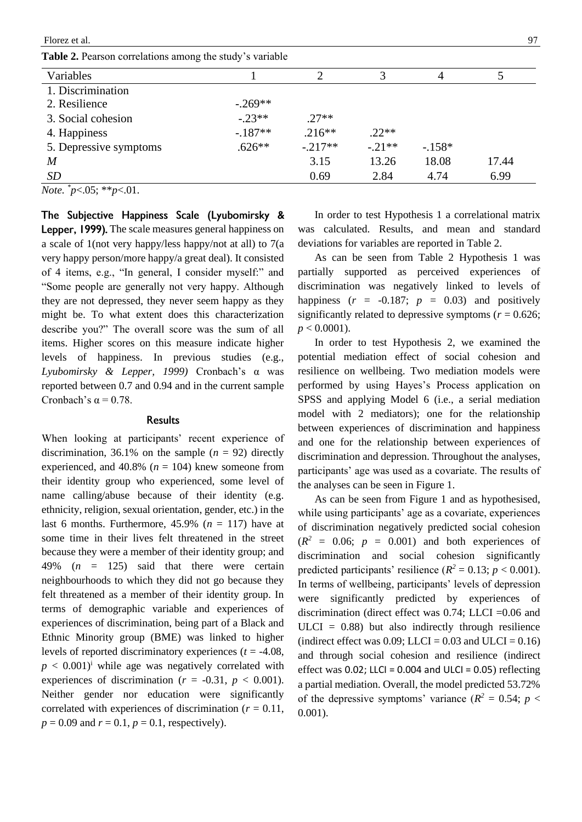**Table 2.** Pearson correlations among the study's variable

|                        | ັ         |           |          |          |       |
|------------------------|-----------|-----------|----------|----------|-------|
| Variables              |           | 2         | 3        |          |       |
| 1. Discrimination      |           |           |          |          |       |
| 2. Resilience          | $-.269**$ |           |          |          |       |
| 3. Social cohesion     | $-.23**$  | $.27**$   |          |          |       |
| 4. Happiness           | $-.187**$ | $.216**$  | $.22**$  |          |       |
| 5. Depressive symptoms | $.626**$  | $-.217**$ | $-.21**$ | $-.158*$ |       |
| $\overline{M}$         |           | 3.15      | 13.26    | 18.08    | 17.44 |
| <i>SD</i>              |           | 0.69      | 2.84     | 4.74     | 6.99  |
|                        |           |           |          |          |       |

*Note. \* p*<.05; \*\**p*<.01.

The Subjective Happiness Scale (Lyubomirsky & Lepper, 1999). The scale measures general happiness on a scale of 1(not very happy/less happy/not at all) to 7(a very happy person/more happy/a great deal). It consisted of 4 items, e.g., "In general, I consider myself:" and "Some people are generally not very happy. Although they are not depressed, they never seem happy as they might be. To what extent does this characterization describe you?" The overall score was the sum of all items. Higher scores on this measure indicate higher levels of happiness. In previous studies (e.g., *Lyubomirsky & Lepper, 1999)* Cronbach's α was reported between 0.7 and 0.94 and in the current sample Cronbach's  $\alpha$  = 0.78.

#### **Results**

When looking at participants' recent experience of discrimination, 36.1% on the sample  $(n = 92)$  directly experienced, and  $40.8\%$  ( $n = 104$ ) knew someone from their identity group who experienced, some level of name calling/abuse because of their identity (e.g. ethnicity, religion, sexual orientation, gender, etc.) in the last 6 months. Furthermore,  $45.9\%$  ( $n = 117$ ) have at some time in their lives felt threatened in the street because they were a member of their identity group; and 49% (*n* = 125) said that there were certain neighbourhoods to which they did not go because they felt threatened as a member of their identity group. In terms of demographic variable and experiences of experiences of discrimination, being part of a Black and Ethnic Minority group (BME) was linked to higher levels of reported discriminatory experiences (*t* = -4.08,  $p < 0.001$ <sup>i</sup> while age was negatively correlated with experiences of discrimination ( $r = -0.31$ ,  $p < 0.001$ ). Neither gender nor education were significantly correlated with experiences of discrimination (*r* = 0.11,  $p = 0.09$  and  $r = 0.1$ ,  $p = 0.1$ , respectively).

In order to test Hypothesis 1 a correlational matrix was calculated. Results, and mean and standard deviations for variables are reported in Table 2.

As can be seen from Table 2 Hypothesis 1 was partially supported as perceived experiences of discrimination was negatively linked to levels of happiness  $(r = -0.187; p = 0.03)$  and positively significantly related to depressive symptoms  $(r = 0.626)$ ;  $p < 0.0001$ ).

In order to test Hypothesis 2, we examined the potential mediation effect of social cohesion and resilience on wellbeing. Two mediation models were performed by using Hayes's Process application on SPSS and applying Model 6 (i.e., a serial mediation model with 2 mediators); one for the relationship between experiences of discrimination and happiness and one for the relationship between experiences of discrimination and depression. Throughout the analyses, participants' age was used as a covariate. The results of the analyses can be seen in Figure 1.

As can be seen from Figure 1 and as hypothesised, while using participants' age as a covariate, experiences of discrimination negatively predicted social cohesion  $(R^2 = 0.06; p = 0.001)$  and both experiences of discrimination and social cohesion significantly predicted participants' resilience ( $R^2 = 0.13$ ;  $p < 0.001$ ). In terms of wellbeing, participants' levels of depression were significantly predicted by experiences of discrimination (direct effect was 0.74; LLCI =0.06 and  $ULCI = 0.88$ ) but also indirectly through resilience (indirect effect was  $0.09$ ; LLCI =  $0.03$  and ULCI =  $0.16$ ) and through social cohesion and resilience (indirect effect was  $0.02$ ; LLCI = 0.004 and ULCI = 0.05) reflecting a partial mediation. Overall, the model predicted 53.72% of the depressive symptoms' variance ( $R^2 = 0.54$ ;  $p <$ 0.001).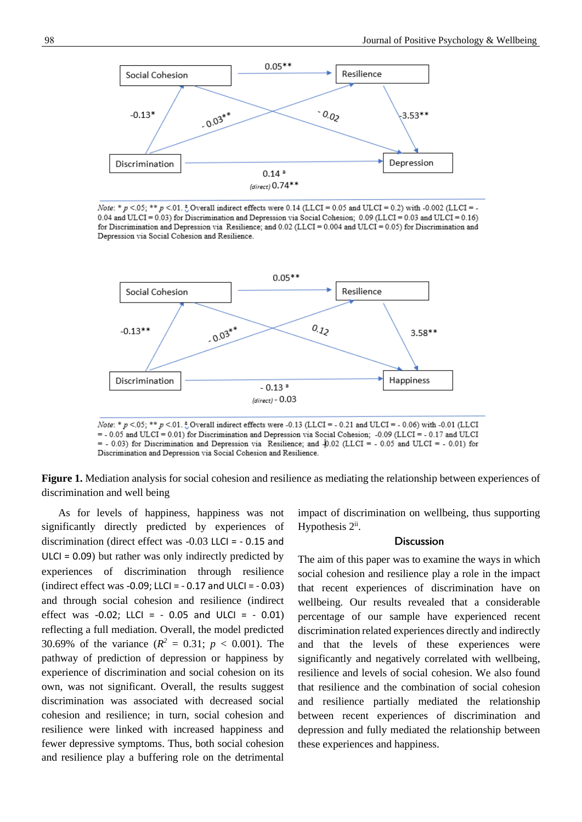

Note: \* p <.05; \*\* p <.01.  $\frac{3}{5}$  Overall indirect effects were 0.14 (LLCI = 0.05 and ULCI = 0.2) with -0.002 (LLCI = -0.04 and ULCI = 0.03) for Discrimination and Depression via Social Cohesion; 0.09 (LLCI = 0.03 and ULCI = 0.16) for Discrimination and Depression via Resilience; and 0.02 (LLCI = 0.004 and ULCI = 0.05) for Discrimination and Depression via Social Cohesion and Resilience.



*Note:* \*  $p < 0.05$ ; \*\*  $p < 0.1$ . <sup>a</sup> Overall indirect effects were -0.13 (LLCI = -0.21 and ULCI = -0.06) with -0.01 (LLCI = - 0.05 and ULCI = 0.01) for Discrimination and Depression via Social Cohesion; -0.09 (LLCI = - 0.17 and ULCI  $=$  - 0.03) for Discrimination and Depression via Resilience; and  $[0.02$  (LLCI = - 0.05 and ULCI = - 0.01) for Discrimination and Depression via Social Cohesion and Resilience.

**Figure 1.** Mediation analysis for social cohesion and resilience as mediating the relationship between experiences of discrimination and well being

As for levels of happiness, happiness was not significantly directly predicted by experiences of discrimination (direct effect was -0.03 LLCI = - 0.15 and ULCI = 0.09) but rather was only indirectly predicted by experiences of discrimination through resilience (indirect effect was -0.09; LLCI =  $-0.17$  and ULCI =  $-0.03$ ) and through social cohesion and resilience (indirect effect was -0.02; LLCI =  $-$  0.05 and ULCI =  $-$  0.01) reflecting a full mediation. Overall, the model predicted 30.69% of the variance  $(R^2 = 0.31; p < 0.001)$ . The pathway of prediction of depression or happiness by experience of discrimination and social cohesion on its own, was not significant. Overall, the results suggest discrimination was associated with decreased social cohesion and resilience; in turn, social cohesion and resilience were linked with increased happiness and fewer depressive symptoms. Thus, both social cohesion and resilience play a buffering role on the detrimental

impact of discrimination on wellbeing, thus supporting Hypothesis  $2<sup>ii</sup>$ .

#### **Discussion**

The aim of this paper was to examine the ways in which social cohesion and resilience play a role in the impact that recent experiences of discrimination have on wellbeing. Our results revealed that a considerable percentage of our sample have experienced recent discrimination related experiences directly and indirectly and that the levels of these experiences were significantly and negatively correlated with wellbeing, resilience and levels of social cohesion. We also found that resilience and the combination of social cohesion and resilience partially mediated the relationship between recent experiences of discrimination and depression and fully mediated the relationship between these experiences and happiness.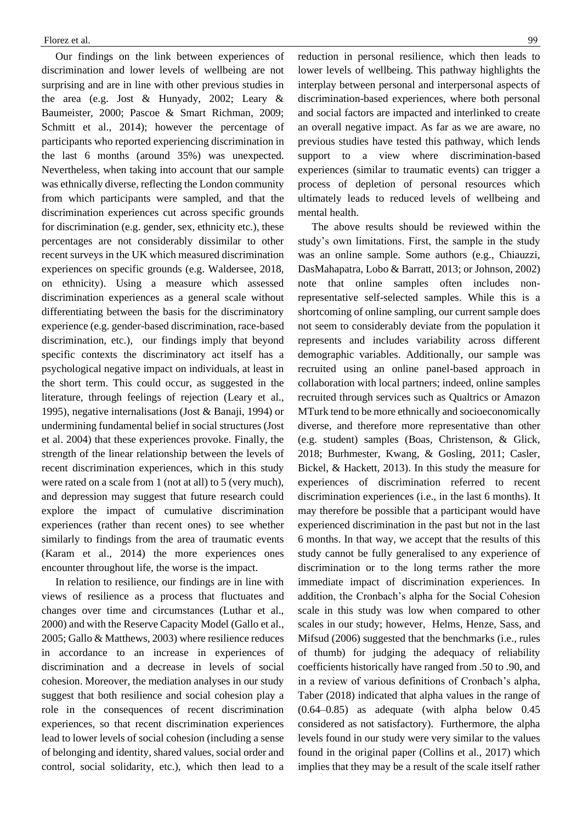Our findings on the link between experiences of discrimination and lower levels of wellbeing are not surprising and are in line with other previous studies in the area (e.g. Jost & Hunyady, 2002; Leary & Baumeister, 2000; Pascoe & Smart Richman, 2009; Schmitt et al., 2014); however the percentage of participants who reported experiencing discrimination in the last 6 months (around 35%) was unexpected. Nevertheless, when taking into account that our sample was ethnically diverse, reflecting the London community from which participants were sampled, and that the discrimination experiences cut across specific grounds for discrimination (e.g. gender, sex, ethnicity etc.), these percentages are not considerably dissimilar to other recent surveys in the UK which measured discrimination experiences on specific grounds (e.g. Waldersee, 2018, on ethnicity). Using a measure which assessed discrimination experiences as a general scale without differentiating between the basis for the discriminatory experience (e.g. gender-based discrimination, race-based discrimination, etc.), our findings imply that beyond specific contexts the discriminatory act itself has a psychological negative impact on individuals, at least in the short term. This could occur, as suggested in the literature, through feelings of rejection (Leary et al., 1995), negative internalisations (Jost & Banaji, 1994) or undermining fundamental belief in social structures (Jost et al. 2004) that these experiences provoke. Finally, the strength of the linear relationship between the levels of recent discrimination experiences, which in this study were rated on a scale from 1 (not at all) to 5 (very much), and depression may suggest that future research could explore the impact of cumulative discrimination experiences (rather than recent ones) to see whether similarly to findings from the area of traumatic events (Karam et al., 2014) the more experiences ones encounter throughout life, the worse is the impact.

In relation to resilience, our findings are in line with views of resilience as a process that fluctuates and changes over time and circumstances (Luthar et al., 2000) and with the Reserve Capacity Model (Gallo et al., 2005; Gallo & Matthews, 2003) where resilience reduces in accordance to an increase in experiences of discrimination and a decrease in levels of social cohesion. Moreover, the mediation analyses in our study suggest that both resilience and social cohesion play a role in the consequences of recent discrimination experiences, so that recent discrimination experiences lead to lower levels of social cohesion (including a sense of belonging and identity, shared values, social order and control, social solidarity, etc.), which then lead to a reduction in personal resilience, which then leads to lower levels of wellbeing. This pathway highlights the interplay between personal and interpersonal aspects of discrimination-based experiences, where both personal and social factors are impacted and interlinked to create an overall negative impact. As far as we are aware, no previous studies have tested this pathway, which lends support to a view where discrimination-based experiences (similar to traumatic events) can trigger a process of depletion of personal resources which ultimately leads to reduced levels of wellbeing and mental health.

The above results should be reviewed within the study's own limitations. First, the sample in the study was an online sample. Some authors (e.g., Chiauzzi, DasMahapatra, Lobo & Barratt, 2013; or Johnson, 2002) note that online samples often includes nonrepresentative self-selected samples. While this is a shortcoming of online sampling, our current sample does not seem to considerably deviate from the population it represents and includes variability across different demographic variables. Additionally, our sample was recruited using an online panel-based approach in collaboration with local partners; indeed, online samples recruited through services such as Qualtrics or Amazon MTurk tend to be more ethnically and socioeconomically diverse, and therefore more representative than other (e.g. student) samples (Boas, Christenson, & Glick, 2018; Burhmester, Kwang, & Gosling, 2011; Casler, Bickel, & Hackett, 2013). In this study the measure for experiences of discrimination referred to recent discrimination experiences (i.e., in the last 6 months). It may therefore be possible that a participant would have experienced discrimination in the past but not in the last 6 months. In that way, we accept that the results of this study cannot be fully generalised to any experience of discrimination or to the long terms rather the more immediate impact of discrimination experiences. In addition, the Cronbach's alpha for the Social Cohesion scale in this study was low when compared to other scales in our study; however, Helms, Henze, Sass, and Mifsud (2006) suggested that the benchmarks (i.e., rules of thumb) for judging the adequacy of reliability coefficients historically have ranged from .50 to .90, and in a review of various definitions of Cronbach's alpha, Taber (2018) indicated that alpha values in the range of (0.64–0.85) as adequate (with alpha below 0.45 considered as not satisfactory). Furthermore, the alpha levels found in our study were very similar to the values found in the original paper (Collins et al., 2017) which implies that they may be a result of the scale itself rather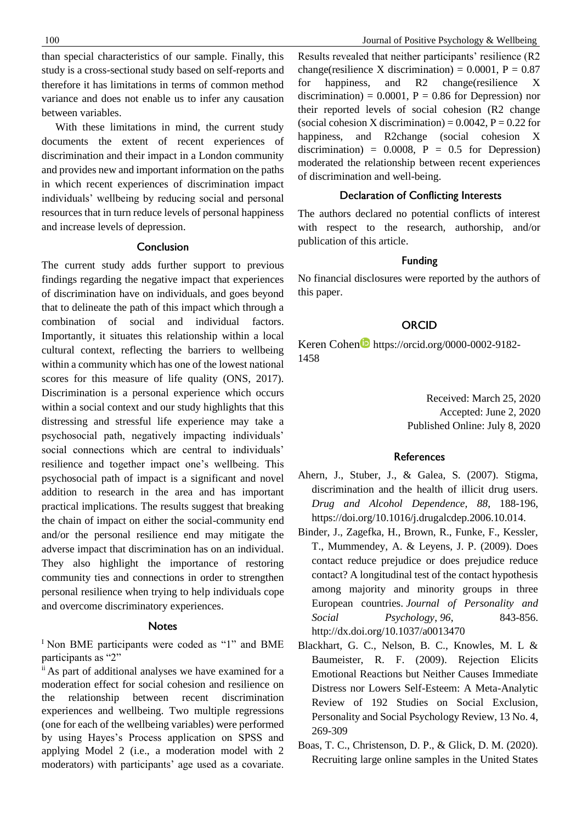than special characteristics of our sample. Finally, this study is a cross-sectional study based on self-reports and therefore it has limitations in terms of common method variance and does not enable us to infer any causation between variables.

With these limitations in mind, the current study documents the extent of recent experiences of discrimination and their impact in a London community and provides new and important information on the paths in which recent experiences of discrimination impact individuals' wellbeing by reducing social and personal resources that in turn reduce levels of personal happiness and increase levels of depression.

## Conclusion

The current study adds further support to previous findings regarding the negative impact that experiences of discrimination have on individuals, and goes beyond that to delineate the path of this impact which through a combination of social and individual factors. Importantly, it situates this relationship within a local cultural context, reflecting the barriers to wellbeing within a community which has one of the lowest national scores for this measure of life quality (ONS, 2017). Discrimination is a personal experience which occurs within a social context and our study highlights that this distressing and stressful life experience may take a psychosocial path, negatively impacting individuals' social connections which are central to individuals' resilience and together impact one's wellbeing. This psychosocial path of impact is a significant and novel addition to research in the area and has important practical implications. The results suggest that breaking the chain of impact on either the social-community end and/or the personal resilience end may mitigate the adverse impact that discrimination has on an individual. They also highlight the importance of restoring community ties and connections in order to strengthen personal resilience when trying to help individuals cope and overcome discriminatory experiences.

## **Notes**

<sup>I</sup> Non BME participants were coded as "1" and BME participants as "2"

ii As part of additional analyses we have examined for a moderation effect for social cohesion and resilience on the relationship between recent discrimination experiences and wellbeing. Two multiple regressions (one for each of the wellbeing variables) were performed by using Hayes's Process application on SPSS and applying Model 2 (i.e., a moderation model with 2 moderators) with participants' age used as a covariate.

Results revealed that neither participants' resilience (R2 change(resilience X discrimination) =  $0.0001$ , P =  $0.87$ for happiness, and R2 change(resilience X discrimination) =  $0.0001$ , P = 0.86 for Depression) nor their reported levels of social cohesion (R2 change (social cohesion X discrimination) =  $0.0042$ , P =  $0.22$  for happiness, and R2change (social cohesion X discrimination) =  $0.0008$ ,  $P = 0.5$  for Depression) moderated the relationship between recent experiences of discrimination and well-being.

# **Declaration of Conflicting Interests**

The authors declared no potential conflicts of interest with respect to the research, authorship, and/or publication of this article.

#### **Funding**

No financial disclosures were reported by the authors of this paper.

## **ORCID**

Kere[n](https://orcid.org/0000-0002-9182-1458) Cohen https://orcid.org/0000-0002-9182-1458

> Received: March 25, 2020 Accepted: June 2, 2020 Published Online: July 8, 2020

#### **References**

- Ahern, J., Stuber, J., & Galea, S. (2007). Stigma, discrimination and the health of illicit drug users. *Drug and Alcohol Dependence, 88*, 188-196, [https://doi.org/10.1016/j.drugalcdep.2006.10.014.](https://doi.org/10.1016/j.drugalcdep.2006.10.014)
- Binder, J., Zagefka, H., Brown, R., Funke, F., Kessler, T., Mummendey, A. & Leyens, J. P. (2009). Does contact reduce prejudice or does prejudice reduce contact? A longitudinal test of the contact hypothesis among majority and minority groups in three European countries. *Journal of Personality and Social Psychology*, *96*, 843-856. <http://dx.doi.org/10.1037/a0013470>
- Blackhart, G. C., Nelson, B. C., Knowles, M. L & Baumeister, R. F. (2009). Rejection Elicits Emotional Reactions but Neither Causes Immediate Distress nor Lowers Self-Esteem: A Meta-Analytic Review of 192 Studies on Social Exclusion, Personality and Social Psychology Review, 13 No. 4, 269-309
- Boas, T. C., Christenson, D. P., & Glick, D. M. (2020). Recruiting large online samples in the United States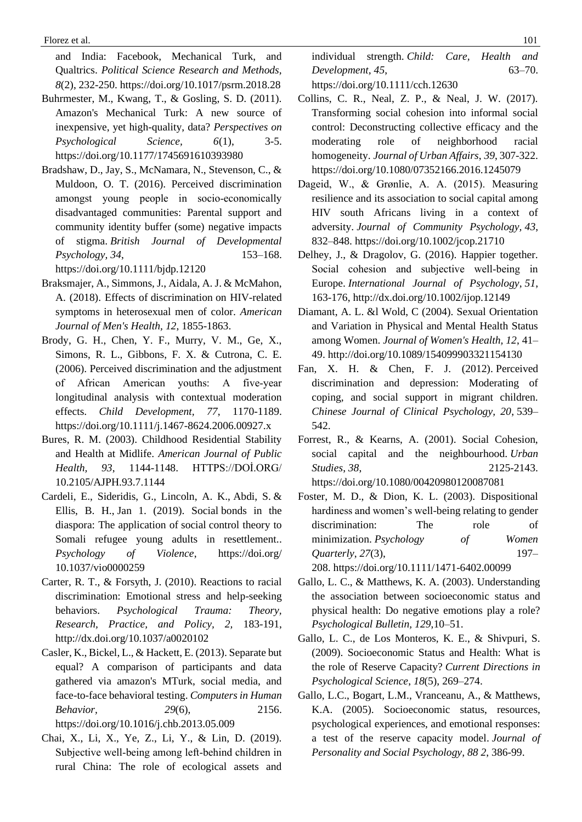Florez et al. 101

and India: Facebook, Mechanical Turk, and Qualtrics. *Political Science Research and Methods, 8*(2), 232-250. https://doi.org/10.1017/psrm.2018.28

- Buhrmester, M., Kwang, T., & Gosling, S. D. (2011). Amazon's Mechanical Turk: A new source of inexpensive, yet high-quality, data? *Perspectives on Psychological Science, 6*(1), 3-5. https://doi.org/10.1177/1745691610393980
- Bradshaw, D., Jay, S., McNamara, N., Stevenson, C., & Muldoon, O. T. (2016). Perceived discrimination amongst young people in socio‐economically disadvantaged communities: Parental support and community identity buffer (some) negative impacts of stigma. *British Journal of Developmental Psychology, 34*, 153–168.

<https://doi.org/10.1111/bjdp.12120>

- Braksmajer, A., Simmons, J., Aidala, A. J. & McMahon, A. (2018). Effects of discrimination on HIV-related symptoms in heterosexual men of color. *American Journal of Men's Health, 12*, 1855-1863.
- Brody, G. H., Chen, Y. F., Murry, V. M., Ge, X., Simons, R. L., Gibbons, F. X. & Cutrona, C. E. (2006). Perceived discrimination and the adjustment of African American youths: A five‐year longitudinal analysis with contextual moderation effects. *Child Development, 77*, 1170-1189. <https://doi.org/10.1111/j.1467-8624.2006.00927.x>
- Bures, R. M. (2003). Childhood Residential Stability and Health at Midlife. *American Journal of Public Health, 93*, 1144-1148. HTTPS://DOİ.ORG/ 10.2105/AJPH.93.7.1144
- Cardeli, E., Sideridis, G., Lincoln, A. K., Abdi, S. & Ellis, B. H., Jan 1. (2019). Social [bonds in the](http://web.a.ebscohost.com/ehost/viewarticle/render?data=dGJyMPPp44rp2%2fdV0%2bnjisfk5Ie45PFIr6awTLWk63nn5Kx95uXxjL6nrkewp61Krqe3OLSws0i4p7E4v8OkjPDX7Ivf2fKB7eTnfLunsE%2burbNLta2yPurX7H%2b72%2bw%2b4ti7iPHv5j7y1%2bVVv8SkeeyzsEivr6tNtqywSaumrkmk3O2K69fyVeTr6oTy2%2faM&vid=16&sid=3117ddc8-686e-4331-be12-dd24ed037a3c@sessionmgr4007)  [diaspora: The application](http://web.a.ebscohost.com/ehost/viewarticle/render?data=dGJyMPPp44rp2%2fdV0%2bnjisfk5Ie45PFIr6awTLWk63nn5Kx95uXxjL6nrkewp61Krqe3OLSws0i4p7E4v8OkjPDX7Ivf2fKB7eTnfLunsE%2burbNLta2yPurX7H%2b72%2bw%2b4ti7iPHv5j7y1%2bVVv8SkeeyzsEivr6tNtqywSaumrkmk3O2K69fyVeTr6oTy2%2faM&vid=16&sid=3117ddc8-686e-4331-be12-dd24ed037a3c@sessionmgr4007) of social control theory to [Somali refugee young adults in resettlement..](http://web.a.ebscohost.com/ehost/viewarticle/render?data=dGJyMPPp44rp2%2fdV0%2bnjisfk5Ie45PFIr6awTLWk63nn5Kx95uXxjL6nrkewp61Krqe3OLSws0i4p7E4v8OkjPDX7Ivf2fKB7eTnfLunsE%2burbNLta2yPurX7H%2b72%2bw%2b4ti7iPHv5j7y1%2bVVv8SkeeyzsEivr6tNtqywSaumrkmk3O2K69fyVeTr6oTy2%2faM&vid=16&sid=3117ddc8-686e-4331-be12-dd24ed037a3c@sessionmgr4007) *Psychology of Violence*, https://doi.org/ [10.1037/vio0000259](https://doi.org/10.1037/vio0000259)
- Carter, R. T., & Forsyth, J. (2010). Reactions to racial discrimination: Emotional stress and help-seeking behaviors. *Psychological Trauma: Theory, Research, Practice, and Policy, 2,* 183-191, <http://dx.doi.org/10.1037/a0020102>
- Casler, K., Bickel, L., & Hackett, E. (2013). Separate but equal? A comparison of participants and data gathered via amazon's MTurk, social media, and face-to-face behavioral testing. *Computers in Human Behavior, 29*(6), 2156. https://doi.org/10.1016/j.chb.2013.05.009
- Chai, X., Li, X., Ye, Z., Li, Y., & Lin, D. (2019). Subjective well‐being among left‐behind children in rural China: The role of ecological assets and

individual strength. *Child: Care, Health and Development, 45*, 63–70.

<https://doi.org/10.1111/cch.12630>

- Collins, C. R., Neal, Z. P., & Neal, J. W. (2017). Transforming social cohesion into informal social control: Deconstructing collective efficacy and the moderating role of neighborhood racial homogeneity. *Journal of Urban Affairs*, *39*, 307-322. https://doi.org/10.1080/07352166.2016.1245079
- Dageid, W., & Grønlie, A. A. (2015). Measuring resilience and its association to social capital among HIV south Africans living in a context of adversity. *Journal of Community Psychology, 43*, 832–848. https://doi.org/10.1002/jcop.21710
- Delhey, J., & Dragolov, G. (2016). Happier together. Social cohesion and subjective well-being in Europe. *International Journal of Psychology*, *51*, 163-176, http://dx.doi.org/10.1002/ijop.12149
- Diamant, A. L. &l Wold, C (2004). Sexual Orientation and Variation in Physical and Mental Health Status among Women. *Journal of Women's Health, 12*, 41– 49. [http://doi.org/10.1089/154099903321154130](https://doi.org/10.1089/154099903321154130)
- Fan, X. H. & Chen, F. J. (2012). Perceived discrimination and depression: Moderating of coping, and social support in migrant children. *Chinese Journal of Clinical Psychology, 20*, 539– 542.
- Forrest, R., & Kearns, A. (2001). Social Cohesion, social capital and the neighbourhood. *Urban Studies*, *38*, 2125-2143. https://doi.org/10.1080/00420980120087081
- Foster, M. D., & Dion, K. L. (2003). Dispositional hardiness and women's well-being relating to gender discrimination: The role of minimization. *Psychology of Women Quarterly*, 27(3), 197– 208. <https://doi.org/10.1111/1471-6402.00099>
- Gallo, L. C., & Matthews, K. A. (2003). Understanding the association between socioeconomic status and physical health: Do negative emotions play a role? *Psychological Bulletin, 129*,10–51.
- Gallo, L. C., de Los Monteros, K. E., & Shivpuri, S. (2009). Socioeconomic Status and Health: What is the role of Reserve Capacity? *Current Directions in Psychological Science*, *18*(5), 269–274.
- Gallo, L.C., Bogart, L.M., Vranceanu, A., & Matthews, K.A. (2005). Socioeconomic status, resources, psychological experiences, and emotional responses: a test of the reserve capacity model. *Journal of Personality and Social Psychology, 88 2*, 386-99.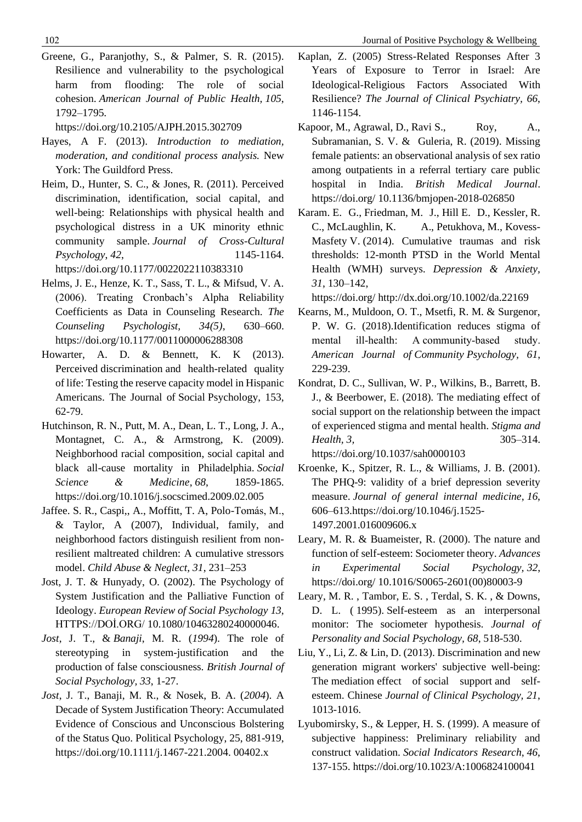102 Journal of Positive Psychology & Wellbeing

Greene, G., Paranjothy, S., & Palmer, S. R. (2015). Resilience and vulnerability to the psychological harm from flooding: The role of social cohesion. *American Journal of Public Health, 105*, 1792–1795.

<https://doi.org/10.2105/AJPH.2015.302709>

- Hayes, A F. (2013). *Introduction to mediation, moderation, and conditional process analysis.* New York: The Guildford Press.
- Heim, D., Hunter, S. C., & Jones, R. (2011). Perceived discrimination, identification, social capital, and well-being: Relationships with physical health and psychological distress in a UK minority ethnic community sample. *Journal of Cross-Cultural Psychology, 42,* 1145-1164. https://doi.org/10.1177/0022022110383310
- Helms, J. E., Henze, K. T., Sass, T. L., & Mifsud, V. A. (2006). Treating Cronbach's Alpha Reliability Coefficients as Data in Counseling Research. *The Counseling Psychologist, 34(5)*, 630–660. <https://doi.org/10.1177/0011000006288308>
- Howarter, A. D. & Bennett, K. K (2013). Perceived discrimination [and health-related quality](http://web.a.ebscohost.com/ehost/viewarticle/render?data=dGJyMPPp44rp2%2fdV0%2bnjisfk5Ie45PFIr6awTLWk63nn5Kx95uXxjL6nrkewp61Krqe3OLSws0i4p7E4v8OkjPDX7Ivf2fKB7eTnfLunsE%2burbNLta2yPurX7H%2b72%2bw%2b4ti7iPHv5j7y1%2bVVv8SkeeyzsEivqKtLr6yySKumrk%2bk3O2K69fyVeTr6oTy2%2faM&vid=8&sid=3117ddc8-686e-4331-be12-dd24ed037a3c@sessionmgr4007)  [of life: Testing the reserve capacity model in Hispanic](http://web.a.ebscohost.com/ehost/viewarticle/render?data=dGJyMPPp44rp2%2fdV0%2bnjisfk5Ie45PFIr6awTLWk63nn5Kx95uXxjL6nrkewp61Krqe3OLSws0i4p7E4v8OkjPDX7Ivf2fKB7eTnfLunsE%2burbNLta2yPurX7H%2b72%2bw%2b4ti7iPHv5j7y1%2bVVv8SkeeyzsEivqKtLr6yySKumrk%2bk3O2K69fyVeTr6oTy2%2faM&vid=8&sid=3117ddc8-686e-4331-be12-dd24ed037a3c@sessionmgr4007)  [Americans.](http://web.a.ebscohost.com/ehost/viewarticle/render?data=dGJyMPPp44rp2%2fdV0%2bnjisfk5Ie45PFIr6awTLWk63nn5Kx95uXxjL6nrkewp61Krqe3OLSws0i4p7E4v8OkjPDX7Ivf2fKB7eTnfLunsE%2burbNLta2yPurX7H%2b72%2bw%2b4ti7iPHv5j7y1%2bVVv8SkeeyzsEivqKtLr6yySKumrk%2bk3O2K69fyVeTr6oTy2%2faM&vid=8&sid=3117ddc8-686e-4331-be12-dd24ed037a3c@sessionmgr4007) The Journal of Social Psychology, 153, 62-79.
- Hutchinson, R. N., Putt, M. A., Dean, L. T., Long, J. A., Montagnet, C. A., & Armstrong, K. (2009). Neighborhood racial composition, social capital and black all-cause mortality in Philadelphia. *Social Science & Medicine*, *68*, 1859-1865. https://doi.org/10.1016/j.socscimed.2009.02.005
- Jaffee. S. R., Caspi,, A., Moffitt, T. A, Polo-Tomás, M., & Taylor, A (2007), Individual, family, and neighborhood factors distinguish resilient from nonresilient maltreated children: A cumulative stressors model. *Child Abuse & Neglect, 31*, 231–253
- Jost, J. T. & Hunyady, O. (2002). The Psychology of System Justification and the Palliative Function of Ideology. *European Review of Social Psychology 13*, HTTPS://DOİ.ORG/ 10.1080/10463280240000046.
- *Jost*, J. T., & *Banaji*, M. R. (*1994*). The role of stereotyping in system-justification and the production of false consciousness. *British Journal of Social Psychology, 33*, 1-27.
- *Jost*, J. T., Banaji, M. R., & Nosek, B. A. (*2004*). A Decade of System Justification Theory: Accumulated Evidence of Conscious and Unconscious Bolstering of the Status Quo. Political Psychology, 25, 881-919, https://doi.org/10.1111/j.1467-221.2004. 00402.x
- Kaplan, Z. (2005) Stress-Related Responses After 3 Years of Exposure to Terror in Israel: Are Ideological-Religious Factors Associated With Resilience? *The Journal of Clinical Psychiatry, 66*, 1146-1154.
- Kapoor, M., Agrawal, D., Ravi S., Roy, A., Subramanian, S. V. & Guleria, R. (2019). Missing female patients: an observational analysis of sex ratio among outpatients in a referral tertiary care public hospital in India. *British Medical Journal*. https://doi.org/ 10.1136/bmjopen-2018-026850
- Karam. E. G., Friedman, M. J., Hill E. D., Kessler, R. C., McLaughlin, K. A., Petukhova, M., Kovess-Masfety V. (2014). Cumulative traumas and risk thresholds: 12-month PTSD in the World Mental Health (WMH) surveys. *Depression & Anxiety, 31*, 130–142,

https://doi.org/ <http://dx.doi.org/10.1002/da.22169>

- Kearns, M., Muldoon, O. T., Msetfi, R. M. & Surgenor, P. W. G. (2018)[.Identification reduces stigma of](http://web.a.ebscohost.com/ehost/viewarticle/render?data=dGJyMPPp44rp2%2fdV0%2bnjisfk5Ie45PFIr6awTLWk63nn5Kx95uXxjL6nrkewp61Krqe3OLSws0i4p7E4v8OkjPDX7Ivf2fKB7eTnfLunsE%2burbNLta2yPurX7H%2b72%2bw%2b4ti7iPHv5j7y1%2bVVv8SkeeyzsEivratNta2xS6umrkmk3O2K69fyVeTr6oTy2%2faM&vid=8&sid=3117ddc8-686e-4331-be12-dd24ed037a3c@sessionmgr4007)  mental ill-health: A community-based study. *American Journal of Community Psychology, 61*, 229-239.
- Kondrat, D. C., Sullivan, W. P., Wilkins, B., Barrett, B. J., & Beerbower, E. (2018). The mediating effect of social support on the relationship between the impact of experienced stigma and mental health. *Stigma and Health, 3,* 305–314. <https://doi.org/10.1037/sah0000103>
- Kroenke, K., Spitzer, R. L., & Williams, J. B. (2001). The PHQ-9: validity of a brief depression severity measure. *Journal of general internal medicine*, *16*, 606–613.https://doi.org/10.1046/j.1525- 1497.2001.016009606.x
- Leary, M. R. & Buameister, R. (2000). The nature and function of self-esteem: Sociometer theory. *Advances in Experimental Social Psychology, 32*, https://doi.org/ 10.1016/S0065-2601(00)80003-9
- Leary, M. R. , Tambor, E. S. , Terdal, S. K. , & Downs, D. L. ( 1995). Self-esteem as an interpersonal monitor: The sociometer hypothesis. *Journal of Personality and Social Psychology, 68*, 518-530.
- [Liu, Y., Li, Z. & Lin, D. \(2013\). Discrimination](http://web.a.ebscohost.com/ehost/viewarticle/render?data=dGJyMPPp44rp2%2fdV0%2bnjisfk5Ie45PFIr6awTLWk63nn5Kx95uXxjL6nrkewp61Krqe3OLSws0i4p7E4v8OkjPDX7Ivf2fKB7eTnfLunsE%2burbNLta2yPurX7H%2b72%2bw%2b4ti7iPHv5j7y1%2bVVv8SkeeyzsEivqqtItaqvTKumsUyk3O2K69fyVeTr6oTy2%2faM&vid=8&sid=3117ddc8-686e-4331-be12-dd24ed037a3c@sessionmgr4007) and new [generation migrant workers' subjective well-being:](http://web.a.ebscohost.com/ehost/viewarticle/render?data=dGJyMPPp44rp2%2fdV0%2bnjisfk5Ie45PFIr6awTLWk63nn5Kx95uXxjL6nrkewp61Krqe3OLSws0i4p7E4v8OkjPDX7Ivf2fKB7eTnfLunsE%2burbNLta2yPurX7H%2b72%2bw%2b4ti7iPHv5j7y1%2bVVv8SkeeyzsEivqqtItaqvTKumsUyk3O2K69fyVeTr6oTy2%2faM&vid=8&sid=3117ddc8-686e-4331-be12-dd24ed037a3c@sessionmgr4007)  The mediation effect of [social support](http://web.a.ebscohost.com/ehost/viewarticle/render?data=dGJyMPPp44rp2%2fdV0%2bnjisfk5Ie45PFIr6awTLWk63nn5Kx95uXxjL6nrkewp61Krqe3OLSws0i4p7E4v8OkjPDX7Ivf2fKB7eTnfLunsE%2burbNLta2yPurX7H%2b72%2bw%2b4ti7iPHv5j7y1%2bVVv8SkeeyzsEivqqtItaqvTKumsUyk3O2K69fyVeTr6oTy2%2faM&vid=8&sid=3117ddc8-686e-4331-be12-dd24ed037a3c@sessionmgr4007) and self[esteem.](http://web.a.ebscohost.com/ehost/viewarticle/render?data=dGJyMPPp44rp2%2fdV0%2bnjisfk5Ie45PFIr6awTLWk63nn5Kx95uXxjL6nrkewp61Krqe3OLSws0i4p7E4v8OkjPDX7Ivf2fKB7eTnfLunsE%2burbNLta2yPurX7H%2b72%2bw%2b4ti7iPHv5j7y1%2bVVv8SkeeyzsEivqqtItaqvTKumsUyk3O2K69fyVeTr6oTy2%2faM&vid=8&sid=3117ddc8-686e-4331-be12-dd24ed037a3c@sessionmgr4007) Chinese *Journal of Clinical Psychology, 21*, 1013-1016.
- Lyubomirsky, S., & Lepper, H. S. (1999). A measure of subjective happiness: Preliminary reliability and construct validation. *Social Indicators Research*, *46*, 137-155. https://doi.org/10.1023/A:1006824100041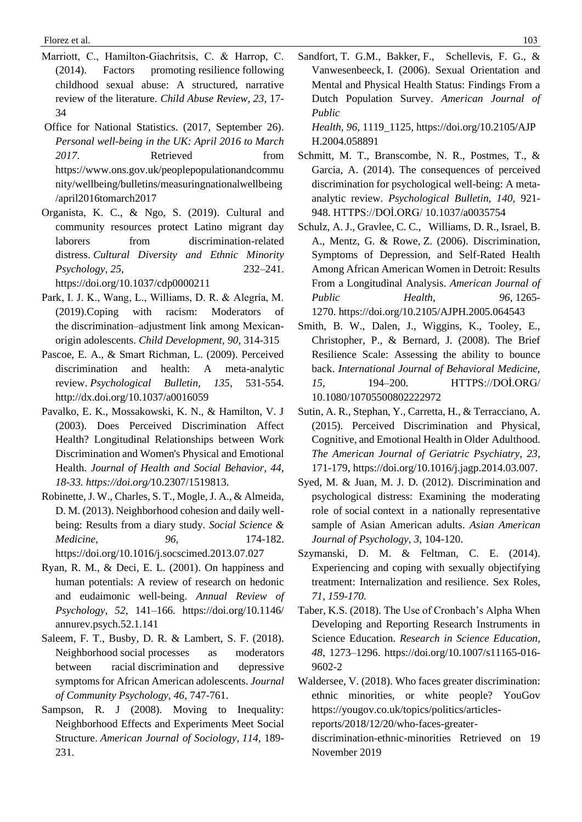Florez et al. 103

- Marriott, C., Hamilton‐Giachritsis, C. & Harrop, C. (2014). [Factors promoting](http://web.b.ebscohost.com/ehost/viewarticle/render?data=dGJyMPPp44rp2%2fdV0%2bnjisfk5Ie45PFIr6awTLWk63nn5Kx95uXxjL6nrkewp61Krqe3OK%2bwsky4qbc4zsOkjPDX7Ivf2fKB7eTnfLunskuur7VKsqu2PurX7H%2b72%2bw%2b4ti7iPHv5j7y1%2bVVv8SkeeyzsEivqqtItKm1Saumrkuk3O2K69fyVeTr6oTy2%2faM&vid=12&sid=fef19a0e-1b83-486d-9043-fa3a965ef5b6@sessionmgr103) resilience following [childhood sexual abuse: A structured, narrative](http://web.b.ebscohost.com/ehost/viewarticle/render?data=dGJyMPPp44rp2%2fdV0%2bnjisfk5Ie45PFIr6awTLWk63nn5Kx95uXxjL6nrkewp61Krqe3OK%2bwsky4qbc4zsOkjPDX7Ivf2fKB7eTnfLunskuur7VKsqu2PurX7H%2b72%2bw%2b4ti7iPHv5j7y1%2bVVv8SkeeyzsEivqqtItKm1Saumrkuk3O2K69fyVeTr6oTy2%2faM&vid=12&sid=fef19a0e-1b83-486d-9043-fa3a965ef5b6@sessionmgr103)  [review of the literature.](http://web.b.ebscohost.com/ehost/viewarticle/render?data=dGJyMPPp44rp2%2fdV0%2bnjisfk5Ie45PFIr6awTLWk63nn5Kx95uXxjL6nrkewp61Krqe3OK%2bwsky4qbc4zsOkjPDX7Ivf2fKB7eTnfLunskuur7VKsqu2PurX7H%2b72%2bw%2b4ti7iPHv5j7y1%2bVVv8SkeeyzsEivqqtItKm1Saumrkuk3O2K69fyVeTr6oTy2%2faM&vid=12&sid=fef19a0e-1b83-486d-9043-fa3a965ef5b6@sessionmgr103) *Child Abuse Review, 23*, 17- 34
- Office for National Statistics. (2017, September 26). *Personal well-being in the UK: April 2016 to March*  2017. Retrieved from https://www.ons.gov.uk/peoplepopulationandcommu nity/wellbeing/bulletins/measuringnationalwellbeing /april2016tomarch2017
- Organista, K. C., & Ngo, S. (2019). Cultural and community resources protect Latino migrant day laborers from discrimination-related distress. *Cultural Diversity and Ethnic Minority Psychology, 25*, 232–241. <https://doi.org/10.1037/cdp0000211>
- Park, I. J. K., Wang, L., Williams, D. R. & Alegría, M. (2019)[.Coping with racism: Moderators of](http://web.a.ebscohost.com/ehost/viewarticle/render?data=dGJyMPPp44rp2%2fdV0%2bnjisfk5Ie45PFIr6awTLWk63nn5Kx95uXxjL6nrkewp61Krqe3OLSws0i4p7E4v8OkjPDX7Ivf2fKB7eTnfLunsE%2burbNLta2yPurX7H%2b72%2bw%2b4ti7iPHv5j7y1%2bVVv8SkeeyzsEivr6tIsKa2Tqumrkqk3O2K69fyVeTr6oTy2%2faM&vid=8&sid=3117ddc8-686e-4331-be12-dd24ed037a3c@sessionmgr4007)  the [discrimination–adjustment link among Mexican‐](http://web.a.ebscohost.com/ehost/viewarticle/render?data=dGJyMPPp44rp2%2fdV0%2bnjisfk5Ie45PFIr6awTLWk63nn5Kx95uXxjL6nrkewp61Krqe3OLSws0i4p7E4v8OkjPDX7Ivf2fKB7eTnfLunsE%2burbNLta2yPurX7H%2b72%2bw%2b4ti7iPHv5j7y1%2bVVv8SkeeyzsEivr6tIsKa2Tqumrkqk3O2K69fyVeTr6oTy2%2faM&vid=8&sid=3117ddc8-686e-4331-be12-dd24ed037a3c@sessionmgr4007) [origin adolescents.](http://web.a.ebscohost.com/ehost/viewarticle/render?data=dGJyMPPp44rp2%2fdV0%2bnjisfk5Ie45PFIr6awTLWk63nn5Kx95uXxjL6nrkewp61Krqe3OLSws0i4p7E4v8OkjPDX7Ivf2fKB7eTnfLunsE%2burbNLta2yPurX7H%2b72%2bw%2b4ti7iPHv5j7y1%2bVVv8SkeeyzsEivr6tIsKa2Tqumrkqk3O2K69fyVeTr6oTy2%2faM&vid=8&sid=3117ddc8-686e-4331-be12-dd24ed037a3c@sessionmgr4007) *Child Development, 90*, 314-315
- Pascoe, E. A., & Smart Richman, L. (2009). Perceived discrimination and health: A meta-analytic review. *Psychological Bulletin, 135*, 531-554. <http://dx.doi.org/10.1037/a0016059>
- Pavalko, E. K., Mossakowski, K. N., & Hamilton, V. J (2003). Does Perceived Discrimination Affect Health? Longitudinal Relationships between Work Discrimination and Women's Physical and Emotional Health. *Journal of Health and Social Behavior, 44, 18-33. https://doi.org/*10.2307/1519813.
- Robinette, J. W., Charles, S. T., Mogle, J. A., & Almeida, D. M. (2013). Neighborhood cohesion and daily wellbeing: Results from a diary study. *Social Science & Medicine, 96,* 174-182. https://doi.org/10.1016/j.socscimed.2013.07.027
- Ryan, R. M., & Deci, E. L. (2001). On happiness and human potentials: A review of research on hedonic and eudaimonic well-being. *Annual Review of Psychology, 52,* 141–166. https://doi.org/10.1146/ annurev.psych.52.1.141
- Saleem, F. T., Busby, D. R. & Lambert, S. F. (2018). Neighborhood social [processes as moderators](http://web.a.ebscohost.com/ehost/viewarticle/render?data=dGJyMPPp44rp2%2fdV0%2bnjisfk5Ie45PFIr6awTLWk63nn5Kx95uXxjL6nrkewp61Krqe3OLSws0i4p7E4v8OkjPDX7Ivf2fKB7eTnfLunsE%2burbNLta2yPurX7H%2b72%2bw%2b4ti7iPHv5j7y1%2bVVv8SkeeyzsEivrqtJsK2uT6umrkmk3O2K69fyVeTr6oTy2%2faM&vid=16&sid=3117ddc8-686e-4331-be12-dd24ed037a3c@sessionmgr4007)  between racial discrimination [and depressive](http://web.a.ebscohost.com/ehost/viewarticle/render?data=dGJyMPPp44rp2%2fdV0%2bnjisfk5Ie45PFIr6awTLWk63nn5Kx95uXxjL6nrkewp61Krqe3OLSws0i4p7E4v8OkjPDX7Ivf2fKB7eTnfLunsE%2burbNLta2yPurX7H%2b72%2bw%2b4ti7iPHv5j7y1%2bVVv8SkeeyzsEivrqtJsK2uT6umrkmk3O2K69fyVeTr6oTy2%2faM&vid=16&sid=3117ddc8-686e-4331-be12-dd24ed037a3c@sessionmgr4007)  [symptoms for African American adolescents.](http://web.a.ebscohost.com/ehost/viewarticle/render?data=dGJyMPPp44rp2%2fdV0%2bnjisfk5Ie45PFIr6awTLWk63nn5Kx95uXxjL6nrkewp61Krqe3OLSws0i4p7E4v8OkjPDX7Ivf2fKB7eTnfLunsE%2burbNLta2yPurX7H%2b72%2bw%2b4ti7iPHv5j7y1%2bVVv8SkeeyzsEivrqtJsK2uT6umrkmk3O2K69fyVeTr6oTy2%2faM&vid=16&sid=3117ddc8-686e-4331-be12-dd24ed037a3c@sessionmgr4007) *Journal of Community Psychology, 46*, 747-761.
- Sampson, R. J (2008). Moving to Inequality: Neighborhood Effects and Experiments Meet Social Structure. *American Journal of Sociology*, *114*, 189- 231.

Sandfort, T. G.M., Bakker, F., Schellevis, F. G., & Vanwesenbeeck, I. (2006). [Sexual Orientation and](https://ajph.aphapublications.org/doi/abs/10.2105/AJPH.2004.058891) [Mental and Physical Health Status: Findings From a](https://ajph.aphapublications.org/doi/abs/10.2105/AJPH.2004.058891)  [Dutch Population Survey.](https://ajph.aphapublications.org/doi/abs/10.2105/AJPH.2004.058891) *American Journal of Public* 

*Health, 96*, 1119\_1125, https://doi.org/10.2105/AJP H.2004.058891

- Schmitt, M. T., Branscombe, N. R., Postmes, T., & Garcia, A. (2014). The consequences of perceived discrimination for psychological well-being: A metaanalytic review. *Psychological Bulletin, 140,* 921- 948. HTTPS://DOİ.ORG/ 10.1037/a0035754
- Schulz, A. J., Gravlee, C. C., Williams, D. R., Israel, B. A., Mentz, G. & Rowe, Z. (2006). [Discrimination,](https://ajph.aphapublications.org/doi/abs/10.2105/AJPH.2005.064543)  [Symptoms of Depression, and Self-Rated Health](https://ajph.aphapublications.org/doi/abs/10.2105/AJPH.2005.064543)  [Among African American Women in Detroit: Results](https://ajph.aphapublications.org/doi/abs/10.2105/AJPH.2005.064543)  [From a Longitudinal Analysis.](https://ajph.aphapublications.org/doi/abs/10.2105/AJPH.2005.064543) *American Journal of Public Health, 96*, 1265- 1270. [https://doi.org/10.2105/AJPH.2005.064543](https://ajph.aphapublications.org/doi/abs/10.2105/AJPH.2005.064543)
- Smith, B. W., Dalen, J., Wiggins, K., Tooley, E., Christopher, P., & Bernard, J. (2008). The Brief Resilience Scale: Assessing the ability to bounce back. *International Journal of Behavioral Medicine, 15*, 194–200. HTTPS://DOİ.ORG/ 10.1080/10705500802222972
- Sutin, A. R., Stephan, Y., Carretta, H., & Terracciano, A. (2015). Perceived Discrimination and Physical, Cognitive, and Emotional Health in Older Adulthood. *The American Journal of Geriatric Psychiatry, 23*, 171-179, https://doi.org/10.1016/j.jagp.2014.03.007.
- Syed, M. & Juan, M. J. D. (2012). [Discrimination](http://web.a.ebscohost.com/ehost/viewarticle/render?data=dGJyMPPp44rp2%2fdV0%2bnjisfk5Ie45PFIr6awTLWk63nn5Kx95uXxjL6nrkewp61Krqe3OLSws0i4p7E4v8OkjPDX7Ivf2fKB7eTnfLunsE%2burbNLta2yPurX7H%2b72%2bw%2b4ti7iPHv5j7y1%2bVVv8SkeeyzsEivp6tKr6ywSqumrkmk3O2K69fyVeTr6oTy2%2faM&vid=16&sid=3117ddc8-686e-4331-be12-dd24ed037a3c@sessionmgr4007) and [psychological distress: Examining the moderating](http://web.a.ebscohost.com/ehost/viewarticle/render?data=dGJyMPPp44rp2%2fdV0%2bnjisfk5Ie45PFIr6awTLWk63nn5Kx95uXxjL6nrkewp61Krqe3OLSws0i4p7E4v8OkjPDX7Ivf2fKB7eTnfLunsE%2burbNLta2yPurX7H%2b72%2bw%2b4ti7iPHv5j7y1%2bVVv8SkeeyzsEivp6tKr6ywSqumrkmk3O2K69fyVeTr6oTy2%2faM&vid=16&sid=3117ddc8-686e-4331-be12-dd24ed037a3c@sessionmgr4007)  role of social [context in a nationally representative](http://web.a.ebscohost.com/ehost/viewarticle/render?data=dGJyMPPp44rp2%2fdV0%2bnjisfk5Ie45PFIr6awTLWk63nn5Kx95uXxjL6nrkewp61Krqe3OLSws0i4p7E4v8OkjPDX7Ivf2fKB7eTnfLunsE%2burbNLta2yPurX7H%2b72%2bw%2b4ti7iPHv5j7y1%2bVVv8SkeeyzsEivp6tKr6ywSqumrkmk3O2K69fyVeTr6oTy2%2faM&vid=16&sid=3117ddc8-686e-4331-be12-dd24ed037a3c@sessionmgr4007)  [sample of Asian American adults.](http://web.a.ebscohost.com/ehost/viewarticle/render?data=dGJyMPPp44rp2%2fdV0%2bnjisfk5Ie45PFIr6awTLWk63nn5Kx95uXxjL6nrkewp61Krqe3OLSws0i4p7E4v8OkjPDX7Ivf2fKB7eTnfLunsE%2burbNLta2yPurX7H%2b72%2bw%2b4ti7iPHv5j7y1%2bVVv8SkeeyzsEivp6tKr6ywSqumrkmk3O2K69fyVeTr6oTy2%2faM&vid=16&sid=3117ddc8-686e-4331-be12-dd24ed037a3c@sessionmgr4007) *Asian American Journal of Psychology, 3*, 104-120.
- Szymanski, D. M. & Feltman, C. E. (2014). [Experiencing and coping with sexually objectifying](http://web.a.ebscohost.com/ehost/viewarticle/render?data=dGJyMPPp44rp2%2fdV0%2bnjisfk5Ie45PFIr6awTLWk63nn5Kx95uXxjL6nrkewp61Krqe3OLSws0i4p7E4v8OkjPDX7Ivf2fKB7eTnfLunsE%2burbNLta2yPurX7H%2b72%2bw%2b4ti7iPHv5j7y1%2bVVv8SkeeyzsEivqqtLsK2yUaumrkmk3O2K69fyVeTr6oTy2%2faM&vid=5&sid=3117ddc8-686e-4331-be12-dd24ed037a3c@sessionmgr4007)  [treatment: Internalization and](http://web.a.ebscohost.com/ehost/viewarticle/render?data=dGJyMPPp44rp2%2fdV0%2bnjisfk5Ie45PFIr6awTLWk63nn5Kx95uXxjL6nrkewp61Krqe3OLSws0i4p7E4v8OkjPDX7Ivf2fKB7eTnfLunsE%2burbNLta2yPurX7H%2b72%2bw%2b4ti7iPHv5j7y1%2bVVv8SkeeyzsEivqqtLsK2yUaumrkmk3O2K69fyVeTr6oTy2%2faM&vid=5&sid=3117ddc8-686e-4331-be12-dd24ed037a3c@sessionmgr4007) resilience. Sex Roles, *71, 159-170.*
- Taber, K.S. (2018). The Use of Cronbach's Alpha When Developing and Reporting Research Instruments in Science Education. *Research in Science Education, 48*, 1273–1296. [https://doi.org/10.1007/s11165-016-](https://doi.org/10.1007/s11165-016-9602-2) [9602-2](https://doi.org/10.1007/s11165-016-9602-2)

[Waldersee,](https://yougov.co.uk/people/victoria.waldersee/) V. (2018). Who faces greater discrimination: ethnic minorities, or white people? YouGov [https://yougov.co.uk/topics/politics/articles](https://yougov.co.uk/topics/politics/articles-reports/2018/12/20/who-faces-greater-discrimination-ethnic-minorities)[reports/2018/12/20/who-faces-greater-](https://yougov.co.uk/topics/politics/articles-reports/2018/12/20/who-faces-greater-discrimination-ethnic-minorities)

[discrimination-ethnic-minorities](https://yougov.co.uk/topics/politics/articles-reports/2018/12/20/who-faces-greater-discrimination-ethnic-minorities) Retrieved on 19 November 2019